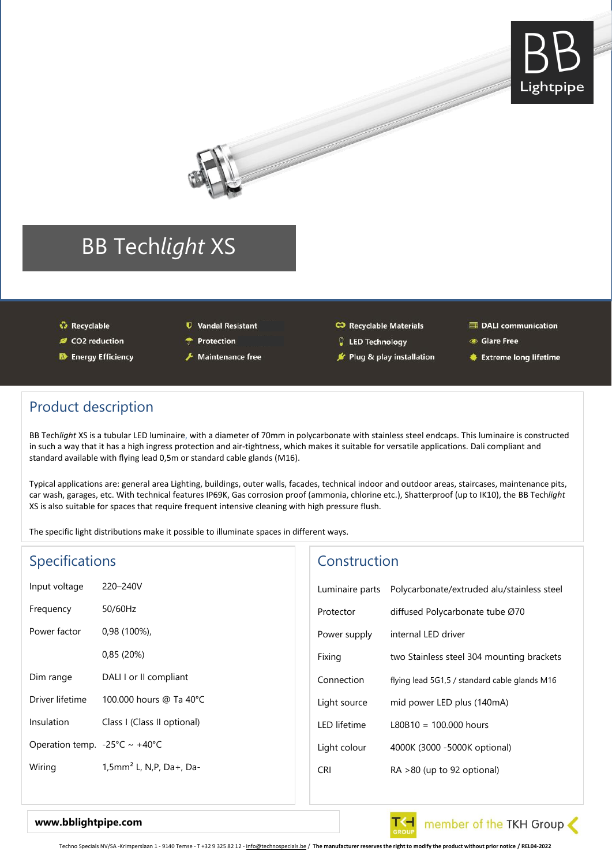



- ↔ Recyclable
- CO2 reduction
- **D** Energy Efficiency
- **U** Vandal Resistant
- **T** Protection
- Maintenance free

#### CJ Recyclable Materials

- **Q** LED Technology
- F Plug & play installation
- 里 DALI communication
- **Glare Free**
- **Extreme long lifetime**

### Product description

BB Tech*light* XS is a tubular LED luminaire, with a diameter of 70mm in polycarbonate with stainless steel endcaps. This luminaire is constructed in such a way that it has a high ingress protection and air-tightness, which makes it suitable for versatile applications. Dali compliant and standard available with flying lead 0,5m or standard cable glands (M16).

Typical applications are: general area Lighting, buildings, outer walls, facades, technical indoor and outdoor areas, staircases, maintenance pits, car wash, garages, etc. With technical features IP69K, Gas corrosion proof (ammonia, chlorine etc.), Shatterproof (up to IK10), the BB Tech*light* XS is also suitable for spaces that require frequent intensive cleaning with high pressure flush.

The specific light distributions make it possible to illuminate spaces in different ways.

| <b>Specifications</b>                    |                                     | Construction    |                                               |  |
|------------------------------------------|-------------------------------------|-----------------|-----------------------------------------------|--|
| Input voltage                            | 220-240V                            | Luminaire parts | Polycarbonate/extruded alu/stainless steel    |  |
| Frequency                                | 50/60Hz                             | Protector       | diffused Polycarbonate tube Ø70               |  |
| Power factor                             | $0.98(100\%)$                       | Power supply    | internal LED driver                           |  |
|                                          | 0.85(20%)                           | Fixing          | two Stainless steel 304 mounting brackets     |  |
| Dim range                                | DALI I or II compliant              | Connection      | flying lead 5G1,5 / standard cable glands M16 |  |
| Driver lifetime                          | 100,000 hours @ Ta 40°C             | Light source    | mid power LED plus (140mA)                    |  |
| Insulation                               | Class I (Class II optional)         | LED lifetime    | $L80B10 = 100.000$ hours                      |  |
| Operation temp. - $25^{\circ}$ C ~ +40°C |                                     | Light colour    | 4000K (3000 - 5000K optional)                 |  |
| Wiring                                   | 1,5mm <sup>2</sup> L, N,P, Da+, Da- | <b>CRI</b>      | $RA > 80$ (up to 92 optional)                 |  |
|                                          |                                     |                 |                                               |  |



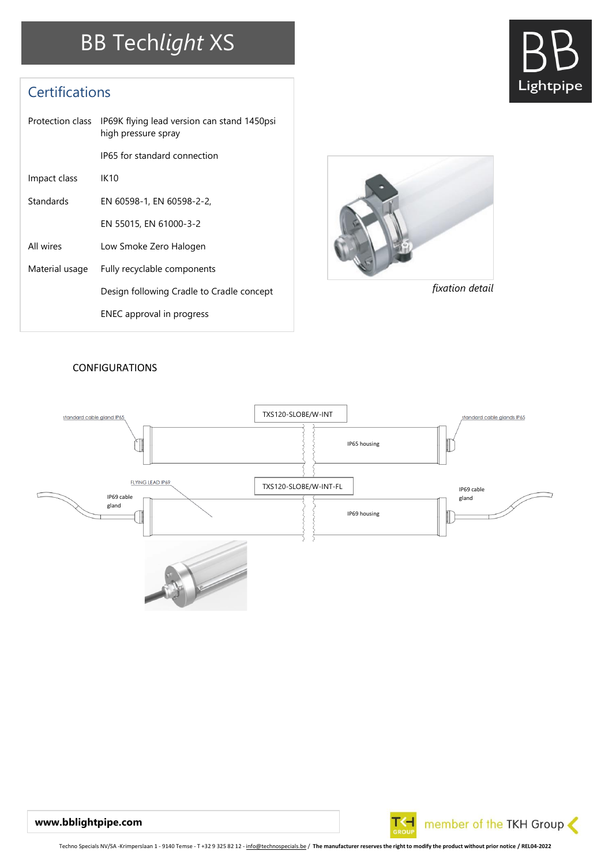# BB Tech*light* XS

## **Certifications**

|                | Protection class IP69K flying lead version can stand 1450psi<br>high pressure spray |  |  |  |  |
|----------------|-------------------------------------------------------------------------------------|--|--|--|--|
|                | IP65 for standard connection                                                        |  |  |  |  |
| Impact class   | IK10                                                                                |  |  |  |  |
| Standards      | EN 60598-1, EN 60598-2-2,                                                           |  |  |  |  |
|                | EN 55015, EN 61000-3-2                                                              |  |  |  |  |
| All wires      | Low Smoke Zero Halogen                                                              |  |  |  |  |
| Material usage | Fully recyclable components                                                         |  |  |  |  |
|                | Design following Cradle to Cradle concept                                           |  |  |  |  |
|                | ENEC approval in progress                                                           |  |  |  |  |



*fixation detail*

Lightpipe

### CONFIGURATIONS